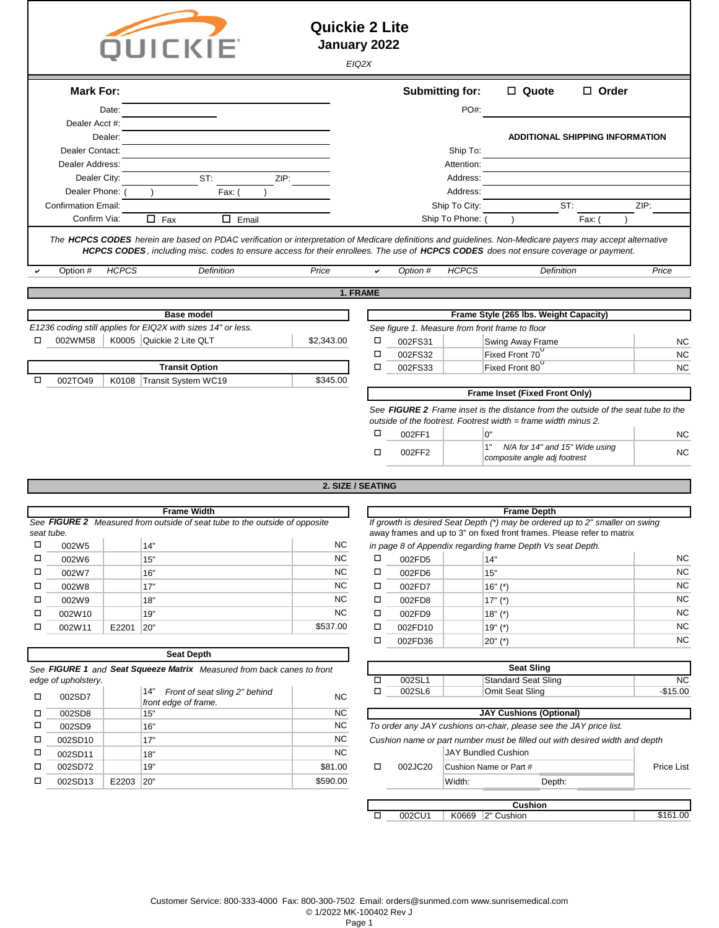|                     |                            |              | <b>QUICKIE</b>                                                                                                                                                                                                                                                                                                          | <b>Quickie 2 Lite</b><br>January 2022 | EIQ2X                                                                                                                                                        |                  |                        |                                                                                                    |                 |  |  |
|---------------------|----------------------------|--------------|-------------------------------------------------------------------------------------------------------------------------------------------------------------------------------------------------------------------------------------------------------------------------------------------------------------------------|---------------------------------------|--------------------------------------------------------------------------------------------------------------------------------------------------------------|------------------|------------------------|----------------------------------------------------------------------------------------------------|-----------------|--|--|
|                     | <b>Mark For:</b>           |              |                                                                                                                                                                                                                                                                                                                         |                                       |                                                                                                                                                              |                  | <b>Submitting for:</b> | □ Quote<br>$\Box$ Order                                                                            |                 |  |  |
|                     |                            | Date:        |                                                                                                                                                                                                                                                                                                                         |                                       |                                                                                                                                                              |                  | PO#:                   |                                                                                                    |                 |  |  |
|                     | Dealer Acct #:             |              |                                                                                                                                                                                                                                                                                                                         |                                       |                                                                                                                                                              |                  |                        |                                                                                                    |                 |  |  |
|                     | Dealer Contact:            | Dealer:      |                                                                                                                                                                                                                                                                                                                         |                                       |                                                                                                                                                              |                  | Ship To:               | <b>ADDITIONAL SHIPPING INFORMATION</b>                                                             |                 |  |  |
|                     | Dealer Address:            |              |                                                                                                                                                                                                                                                                                                                         |                                       |                                                                                                                                                              |                  | Attention:             |                                                                                                    |                 |  |  |
|                     | Dealer City:               |              | ST:<br>ZIP:                                                                                                                                                                                                                                                                                                             |                                       |                                                                                                                                                              |                  | Address:               |                                                                                                    |                 |  |  |
|                     | Dealer Phone:              |              | Fax: (                                                                                                                                                                                                                                                                                                                  |                                       |                                                                                                                                                              |                  | Address:               |                                                                                                    |                 |  |  |
|                     | <b>Confirmation Email:</b> |              |                                                                                                                                                                                                                                                                                                                         |                                       |                                                                                                                                                              |                  | Ship To City:          | ST:                                                                                                | ZIP:            |  |  |
|                     | Confirm Via:               |              | $\Box$ Fax<br>$\Box$ Email                                                                                                                                                                                                                                                                                              |                                       |                                                                                                                                                              |                  | Ship To Phone:         | Fax:                                                                                               |                 |  |  |
|                     | Option #                   | <b>HCPCS</b> | The HCPCS CODES herein are based on PDAC verification or interpretation of Medicare definitions and guidelines. Non-Medicare payers may accept alternative<br>HCPCS CODES, including misc. codes to ensure access for their enrollees. The use of HCPCS CODES does not ensure coverage or payment.<br><b>Definition</b> | Price                                 | ✓                                                                                                                                                            | Option #         | <b>HCPCS</b>           | Definition                                                                                         | Price           |  |  |
|                     |                            |              |                                                                                                                                                                                                                                                                                                                         |                                       | 1. FRAME                                                                                                                                                     |                  |                        |                                                                                                    |                 |  |  |
|                     |                            |              |                                                                                                                                                                                                                                                                                                                         |                                       |                                                                                                                                                              |                  |                        |                                                                                                    |                 |  |  |
|                     |                            |              | <b>Base model</b><br>E1236 coding still applies for EIQ2X with sizes 14" or less.                                                                                                                                                                                                                                       |                                       |                                                                                                                                                              |                  |                        | Frame Style (265 lbs. Weight Capacity)<br>See figure 1. Measure from front frame to floor          |                 |  |  |
|                     | 002WM58                    |              | K0005 Quickie 2 Lite QLT                                                                                                                                                                                                                                                                                                | \$2,343.00                            | □                                                                                                                                                            | 002FS31          |                        | Swing Away Frame                                                                                   | <b>NC</b>       |  |  |
|                     |                            |              |                                                                                                                                                                                                                                                                                                                         |                                       | □                                                                                                                                                            | 002FS32          |                        | Fixed Front 70                                                                                     | <b>NC</b>       |  |  |
|                     |                            |              | <b>Transit Option</b>                                                                                                                                                                                                                                                                                                   |                                       | □                                                                                                                                                            | 002FS33          |                        | Fixed Front 80                                                                                     | <b>NC</b>       |  |  |
| □                   | 002TO49                    | K0108        | Transit System WC19                                                                                                                                                                                                                                                                                                     | \$345.00                              |                                                                                                                                                              |                  |                        |                                                                                                    |                 |  |  |
|                     |                            |              |                                                                                                                                                                                                                                                                                                                         |                                       |                                                                                                                                                              |                  |                        | Frame Inset (Fixed Front Only)                                                                     |                 |  |  |
|                     |                            |              |                                                                                                                                                                                                                                                                                                                         |                                       | See <b>FIGURE 2</b> Frame inset is the distance from the outside of the seat tube to the<br>outside of the footrest. Footrest width $=$ frame width minus 2. |                  |                        |                                                                                                    |                 |  |  |
|                     |                            |              |                                                                                                                                                                                                                                                                                                                         |                                       | □                                                                                                                                                            | 002FF1           |                        | 0"                                                                                                 | NC.             |  |  |
|                     |                            |              |                                                                                                                                                                                                                                                                                                                         |                                       | □                                                                                                                                                            | 002FF2           |                        | 1"<br>N/A for 14" and 15" Wide using<br>composite angle adj footrest                               | <b>NC</b>       |  |  |
|                     |                            |              |                                                                                                                                                                                                                                                                                                                         | 2. SIZE / SEATING                     |                                                                                                                                                              |                  |                        |                                                                                                    |                 |  |  |
|                     |                            |              | <b>Frame Width</b>                                                                                                                                                                                                                                                                                                      |                                       |                                                                                                                                                              |                  |                        |                                                                                                    |                 |  |  |
|                     |                            |              | See FIGURE 2 Measured from outside of seat tube to the outside of opposite                                                                                                                                                                                                                                              |                                       |                                                                                                                                                              |                  |                        | <b>Frame Depth</b><br>If growth is desired Seat Depth (*) may be ordered up to 2" smaller on swing |                 |  |  |
| seat tube.          |                            |              |                                                                                                                                                                                                                                                                                                                         |                                       |                                                                                                                                                              |                  |                        | away frames and up to 3" on fixed front frames. Please refer to matrix                             |                 |  |  |
| □                   | 002W5                      |              | 14"                                                                                                                                                                                                                                                                                                                     | <b>NC</b>                             |                                                                                                                                                              |                  |                        | in page 8 of Appendix regarding frame Depth Vs seat Depth.                                         |                 |  |  |
| □                   | 002W6                      |              | 15"                                                                                                                                                                                                                                                                                                                     | <b>NC</b><br><b>NC</b>                | $\Box$                                                                                                                                                       | 002FD5           |                        | 14"                                                                                                | <b>NC</b>       |  |  |
| □<br>□              | 002W7<br>002W8             |              | 16"<br>17"                                                                                                                                                                                                                                                                                                              | <b>NC</b>                             | □<br>$\Box$                                                                                                                                                  | 002FD6<br>002FD7 |                        | 15"<br>$16" (*)$                                                                                   | <b>NC</b><br>NC |  |  |
| □                   | 002W9                      |              | 18"                                                                                                                                                                                                                                                                                                                     | <b>NC</b>                             | □                                                                                                                                                            | 002FD8           |                        | $17" (*)$                                                                                          | <b>NC</b>       |  |  |
| □                   | 002W10                     |              | 19"                                                                                                                                                                                                                                                                                                                     | <b>NC</b>                             | □                                                                                                                                                            | 002FD9           |                        | $18"$ (*)                                                                                          | <b>NC</b>       |  |  |
| □                   | 002W11                     | E2201        | 20"                                                                                                                                                                                                                                                                                                                     | \$537.00                              | □                                                                                                                                                            | 002FD10          |                        | $19" (*)$                                                                                          | <b>NC</b>       |  |  |
|                     |                            |              |                                                                                                                                                                                                                                                                                                                         |                                       | □                                                                                                                                                            | 002FD36          |                        | $20"$ (*)                                                                                          | <b>NC</b>       |  |  |
|                     |                            |              | <b>Seat Depth</b>                                                                                                                                                                                                                                                                                                       |                                       |                                                                                                                                                              |                  |                        |                                                                                                    |                 |  |  |
|                     |                            |              | See FIGURE 1 and Seat Squeeze Matrix Measured from back canes to front                                                                                                                                                                                                                                                  |                                       |                                                                                                                                                              |                  |                        | <b>Seat Sling</b>                                                                                  |                 |  |  |
| edge of upholstery. |                            |              |                                                                                                                                                                                                                                                                                                                         |                                       |                                                                                                                                                              | 002SL1           |                        | <b>Standard Seat Sling</b>                                                                         | <b>NC</b>       |  |  |
| □                   | 002SD7                     |              | 14"<br>Front of seat sling 2" behind<br>front edge of frame.                                                                                                                                                                                                                                                            | <b>NC</b>                             | $\Box$                                                                                                                                                       | 002SL6           |                        | Omit Seat Sling                                                                                    | $-$15.00$       |  |  |
| □                   | 002SD8                     |              | 15"                                                                                                                                                                                                                                                                                                                     | NC                                    |                                                                                                                                                              |                  |                        | <b>JAY Cushions (Optional)</b>                                                                     |                 |  |  |

|         |           | front edge of frame. |           |         |                                                                    |                                |        |  |
|---------|-----------|----------------------|-----------|---------|--------------------------------------------------------------------|--------------------------------|--------|--|
| 002SD8  |           | 15"                  | <b>NC</b> |         |                                                                    | <b>JAY Cushions (Optional)</b> |        |  |
| 002SD9  |           | 16"                  | NC.       |         | To order any JAY cushions on-chair, please see the JAY price list. |                                |        |  |
| 002SD10 |           | 17"                  | NC.       |         | Cushion name or part number must be filled out with desired width  |                                |        |  |
| 002SD11 |           | 18"                  | <b>NC</b> |         | <b>JAY Bundled Cushion</b>                                         |                                |        |  |
| 002SD72 |           | 19"                  | \$81.00   | 002JC20 | Cushion Name or Part #                                             |                                |        |  |
| 002SD13 | E2203 20" |                      | \$590.00  |         | Width:                                                             |                                | Depth: |  |

o o o

Cushion name or part number must be filled out with desired width and depth

| 002SD11 |           | 18  | <b>NC</b> |         | JAY Bundled Cushion    |        |            |
|---------|-----------|-----|-----------|---------|------------------------|--------|------------|
| 002SD72 |           | 19' | \$81.00   | 002JC20 | Cushion Name or Part # |        | Price List |
| 002SD13 | E2203 20" |     | \$590.00  |         | Width:                 | Depth: |            |
|         |           |     |           |         |                        |        |            |
|         |           |     |           |         | <b>Cushion</b>         |        |            |
|         |           |     |           | 002CU1  | K0669 $ 2"$ Cushion    |        | \$161.00   |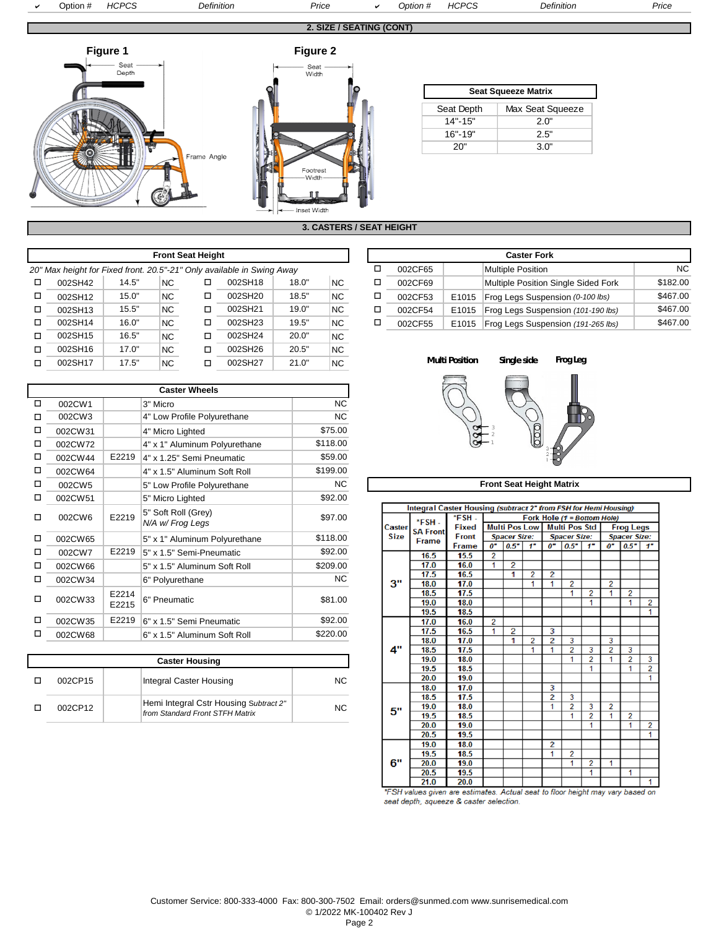

**3. CASTERS / SEAT HEIGHT**

|   |                                                                        |                                       |         | <b>Front Seat Height</b> |           |       |           |                       |             | <b>Caster Fork</b>      |       |                          |
|---|------------------------------------------------------------------------|---------------------------------------|---------|--------------------------|-----------|-------|-----------|-----------------------|-------------|-------------------------|-------|--------------------------|
|   | 20" Max height for Fixed front. 20.5"-21" Only available in Swing Away |                                       |         |                          |           |       |           |                       | □           | 002CF65                 |       | <b>Multiple Position</b> |
| □ | 002SH18<br>18.0"<br>14.5"<br>NC.<br>NC.<br>002SH42<br>□                |                                       |         |                          |           |       |           |                       | □           | 002CF69                 |       | Multiple Position \$     |
| □ | 002SH12                                                                | 15.0"                                 | NC.     | □                        | 002SH20   | 18.5" | ΝC        |                       | □           | 002CF53                 | E1015 | <b>Frog Legs Susper</b>  |
| □ | 15.5"<br>NC.<br>□<br>002SH13                                           |                                       | 002SH21 | 19.0"                    | ΝC        | □     |           | 002CF54               | E1015       | <b>Frog Legs Susper</b> |       |                          |
| п | 002SH14                                                                | 16.0"                                 | NC.     | □                        | 002SH23   | 19.5" | ΝC        |                       | □           | 002CF55                 | E1015 | <b>Frog Legs Susper</b>  |
| п | 002SH15                                                                | 16.5"                                 | NC.     | □                        | 002SH24   | 20.0" | <b>NC</b> |                       |             |                         |       |                          |
| п | 002SH16<br>17.0"<br>NC.<br>002SH26<br>П                                |                                       |         | 20.5"                    | <b>NC</b> |       |           |                       |             |                         |       |                          |
| □ | 002SH17                                                                | 17.5"<br>NC.<br>002SH27<br>21.0"<br>□ |         |                          | NC.       |       |           | <b>Multi Position</b> | Single side |                         |       |                          |

| <b>Caster Wheels</b> |         |                            |                                         |           |  |  |  |  |  |  |
|----------------------|---------|----------------------------|-----------------------------------------|-----------|--|--|--|--|--|--|
| п                    | 002CW1  |                            | 3" Micro                                | <b>NC</b> |  |  |  |  |  |  |
| П                    | 002CW3  |                            | 4" Low Profile Polyurethane             | NC.       |  |  |  |  |  |  |
| п                    | 002CW31 |                            | 4" Micro Lighted                        | \$75.00   |  |  |  |  |  |  |
| п                    | 002CW72 |                            | 4" x 1" Aluminum Polyurethane           | \$118.00  |  |  |  |  |  |  |
| □                    | 002CW44 | E2219                      | 4" x 1.25" Semi Pneumatic               | \$59.00   |  |  |  |  |  |  |
| □                    | 002CW64 |                            | 4" x 1.5" Aluminum Soft Roll            | \$199.00  |  |  |  |  |  |  |
| п                    | 002CW5  |                            | 5" Low Profile Polyurethane             | NC.       |  |  |  |  |  |  |
| п                    | 002CW51 |                            | 5" Micro Lighted                        | \$92.00   |  |  |  |  |  |  |
| п                    | 002CW6  | E2219                      | 5" Soft Roll (Grey)<br>N/A w/ Frog Legs | \$97.00   |  |  |  |  |  |  |
| п                    | 002CW65 |                            | 5" x 1" Aluminum Polyurethane           | \$118.00  |  |  |  |  |  |  |
| п                    | 002CW7  | E2219                      | 5" x 1.5" Semi-Pneumatic                | \$92.00   |  |  |  |  |  |  |
| п                    | 002CW66 |                            | 5" x 1.5" Aluminum Soft Roll            | \$209.00  |  |  |  |  |  |  |
| п                    | 002CW34 |                            | 6" Polyurethane                         | NC.       |  |  |  |  |  |  |
| п                    | 002CW33 | F <sub>2214</sub><br>E2215 | 6" Pneumatic                            | \$81.00   |  |  |  |  |  |  |
| П                    | 002CW35 | E2219                      | 6" x 1.5" Semi Pneumatic                | \$92.00   |  |  |  |  |  |  |
| П                    | 002CW68 |                            | 6" x 1.5" Aluminum Soft Roll            | \$220.00  |  |  |  |  |  |  |

| <b>Caster Housing</b> |  |                                                                           |     |  |  |  |  |  |  |  |
|-----------------------|--|---------------------------------------------------------------------------|-----|--|--|--|--|--|--|--|
| 002CP15               |  | Integral Caster Housing                                                   | NC. |  |  |  |  |  |  |  |
| 002CP12               |  | Hemi Integral Cstr Housing Subtract 2"<br>from Standard Front STFH Matrix | NC. |  |  |  |  |  |  |  |

|                                                                |                                                                  |           | <b>Front Seat Height</b> |         |         |           |                                     | <b>Caster Fork</b> |         |       |                                    |          |  |
|----------------------------------------------------------------|------------------------------------------------------------------|-----------|--------------------------|---------|---------|-----------|-------------------------------------|--------------------|---------|-------|------------------------------------|----------|--|
|                                                                | x height for Fixed front. 20.5"-21" Only available in Swing Away |           |                          |         |         |           |                                     |                    | 002CF65 |       | Multiple Position                  | NC.      |  |
| 002SH42                                                        | 18.0"<br>14.5"<br>002SH18<br>NC<br><b>NC</b>                     |           |                          |         | 002CF69 |           | Multiple Position Single Sided Fork | \$182.00           |         |       |                                    |          |  |
| 002SH12                                                        | 15.0"                                                            | <b>NC</b> |                          | 002SH20 | 18.5"   | <b>NC</b> |                                     |                    | 002CF53 | E1015 | Frog Legs Suspension (0-100 lbs)   | \$467.00 |  |
| 002SH13                                                        | 15.5"                                                            | <b>NC</b> |                          | 002SH21 | 19.0"   | <b>NC</b> |                                     |                    | 002CF54 | E1015 | Frog Legs Suspension (101-190 lbs) | \$467.00 |  |
| 002SH14<br>19.5"<br>16.0"<br>002SH23<br><b>NC</b><br><b>NC</b> |                                                                  |           |                          |         |         |           |                                     |                    | 002CF55 | E1015 | Frog Legs Suspension (191-265 lbs) | \$467.00 |  |
|                                                                |                                                                  |           |                          |         |         |           |                                     |                    |         |       |                                    |          |  |



## **Front Seat Height Matrix**

|                         | Integral Caster Housing (subtract 2" from FSH for Hemi Housing) |              |                |                      |       |                |                             |                |                  |                     |                |
|-------------------------|-----------------------------------------------------------------|--------------|----------------|----------------------|-------|----------------|-----------------------------|----------------|------------------|---------------------|----------------|
|                         | *FSH-                                                           | *FSH-        |                |                      |       |                | Fork Hole (1 = Bottom Hole) |                |                  |                     |                |
| Caster                  | <b>SA Front</b>                                                 | <b>Fixed</b> |                | <b>Multi Pos Low</b> |       |                | <b>Multi Pos Std</b>        |                |                  | <b>Frog Legs</b>    |                |
| <b>Size</b><br>3"<br>4" | <b>Frame</b>                                                    | <b>Front</b> |                | <b>Spacer Size:</b>  |       |                | <b>Spacer Size:</b>         |                |                  | <b>Spacer Size:</b> |                |
|                         |                                                                 | <b>Frame</b> | $0^{\circ}$    | 0.5"                 | $1 -$ | $0^{\circ}$    | 0.5"                        | $1 -$          | $\boldsymbol{o}$ | 0.5"                | $1 -$          |
|                         | 16.5                                                            | 15.5         | $\overline{2}$ |                      |       |                |                             |                |                  |                     |                |
|                         | 17.0                                                            | 16.0         | 1              | $\overline{2}$       |       |                |                             |                |                  |                     |                |
|                         | 17.5                                                            | 16.5         |                | 1                    | 2     | 2              |                             |                |                  |                     |                |
|                         | 18.0                                                            | 17.0         |                |                      | 1     | 1              | 2                           |                | 2                |                     |                |
|                         | 18.5                                                            | 17.5         |                |                      |       |                | 1                           | 2              | 1                | 2                   |                |
|                         | 19.0                                                            | 18.0         |                |                      |       |                |                             | 1              |                  | 1                   | 2              |
|                         | 19.5                                                            | 18.5         |                |                      |       |                |                             |                |                  |                     | 1              |
|                         | 17.0                                                            | 16.0         | 2              |                      |       |                |                             |                |                  |                     |                |
|                         | 17.5                                                            | 16.5         | 1              | 2                    |       | 3              |                             |                |                  |                     |                |
|                         | 18.0                                                            | 17.0         |                | 1                    | 2     | 2              | 3                           |                | 3                |                     |                |
|                         | 18.5                                                            | 17.5         |                |                      | 1     | 1              | $\overline{2}$              | 3              | $\overline{2}$   | 3                   |                |
|                         | 19.0                                                            | 18.0         |                |                      |       |                | 1                           | $\overline{2}$ | 1                | 2                   | 3              |
|                         | 19.5                                                            | 18.5         |                |                      |       |                |                             | 1              |                  | 1                   | $\overline{2}$ |
|                         | 20.0                                                            | 19.0         |                |                      |       |                |                             |                |                  |                     | 1              |
|                         | 18.0                                                            | 17.0         |                |                      |       | 3              |                             |                |                  |                     |                |
|                         | 18.5                                                            | 17.5         |                |                      |       | $\overline{2}$ | 3                           |                |                  |                     |                |
| 5"                      | 19.0                                                            | 18.0         |                |                      |       | 1              | 2                           | 3              | 2                |                     |                |
|                         | 19.5                                                            | 18.5         |                |                      |       |                | 1                           | $\overline{2}$ | 1                | 2                   |                |
|                         | 20.0                                                            | 19.0         |                |                      |       |                |                             | 1              |                  | 1                   | 2              |
|                         | 20.5                                                            | 19.5         |                |                      |       |                |                             |                |                  |                     | $\overline{1}$ |
|                         | 19.0                                                            | 18.0         |                |                      |       | 2              |                             |                |                  |                     |                |
|                         | 19.5                                                            | 18.5         |                |                      |       | 1              | 2                           |                |                  |                     |                |
| 6"                      | 20.0                                                            | 19.0         |                |                      |       |                | 1                           | 2              | 1                |                     |                |
|                         | 20.5                                                            | 19.5         |                |                      |       |                |                             | 1              |                  | 1                   |                |
|                         | 21.0                                                            | 20.0         |                |                      |       |                |                             |                |                  |                     | 1              |

\*FSH values given are estimates. Actual seat to floor height may vary based on seat depth, squeeze & caster selection.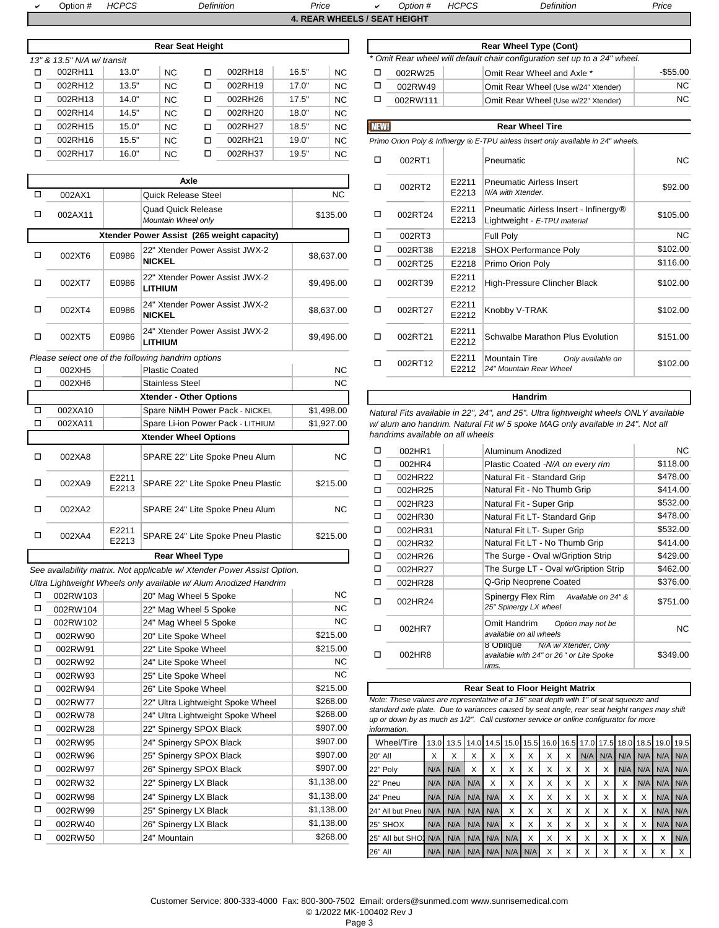Option # *HCPCS Definition Price* <sup>a</sup> *Option # HCPCS Definition Price*

a

|        |                            |       | <b>Rear Seat Height</b> |         |       |           |                          |                                                 | <b>Rear Wheel Type (Cont)</b>                                                                |  |  |  |
|--------|----------------------------|-------|-------------------------|---------|-------|-----------|--------------------------|-------------------------------------------------|----------------------------------------------------------------------------------------------|--|--|--|
|        | 13" & 13.5" N/A w/ transit |       |                         |         |       |           |                          |                                                 | * Omit Rear wheel will default chair configuration set up to a 24" wheel                     |  |  |  |
| п      | 002RH11                    | 13.0" | <b>NC</b>               | 002RH18 | 16.5" | <b>NC</b> | □                        | 002RW25                                         | Omit Rear Wheel and Axle *                                                                   |  |  |  |
| $\Box$ | 002RH12                    | 13.5" | <b>NC</b>               | 002RH19 | 17.0" | <b>NC</b> | □                        | 002RW49<br>Omit Rear Wheel (Use w/24" Xtender)  |                                                                                              |  |  |  |
| $\Box$ | 002RH13                    | 14.0" | <b>NC</b>               | 002RH26 | 17.5" | <b>NC</b> | □                        | 002RW111<br>Omit Rear Wheel (Use w/22" Xtender) |                                                                                              |  |  |  |
| n.     | 002RH14                    | 14.5" | <b>NC</b>               | 002RH20 | 18.0" | <b>NC</b> |                          |                                                 |                                                                                              |  |  |  |
| $\Box$ | 002RH15                    | 15.0" | <b>NC</b>               | 002RH27 | 18.5" | <b>NC</b> | NEW!                     |                                                 | <b>Rear Wheel Tire</b>                                                                       |  |  |  |
| $\Box$ | 002RH16                    | 15.5" | NC.                     | 002RH21 | 19.0" | <b>NC</b> |                          |                                                 | Primo Orion Poly & Infinergy <sup>®</sup> E-TPU airless insert only available in 24" wheels. |  |  |  |
|        | 002RH17                    | 16.0" | <b>NC</b>               | 002RH37 | 19.5" | <b>NC</b> | $\overline{\phantom{0}}$ | $\cdots$                                        | $\overline{\phantom{0}}$                                                                     |  |  |  |

|        |         |                | Axle                                               |            | $\Box$ | 002RT2                           | E2211            | <b>Pneumatic Airles</b>                            |  |
|--------|---------|----------------|----------------------------------------------------|------------|--------|----------------------------------|------------------|----------------------------------------------------|--|
| $\Box$ | 002AX1  |                | <b>Quick Release Steel</b>                         | <b>NC</b>  |        |                                  | E2213            | N/A with Xtender.                                  |  |
| □      | 002AX11 |                | <b>Quad Quick Release</b><br>Mountain Wheel only   | \$135.00   | П      | 002RT24                          | E2211<br>E2213   | <b>Pneumatic Airles</b><br>Lightweight - E-7       |  |
|        |         |                | Xtender Power Assist (265 weight capacity)         |            | $\Box$ | 002RT3                           |                  | Full Poly                                          |  |
| □      | 002XT6  | E0986          | 22" Xtender Power Assist JWX-2                     | \$8,637.00 | $\Box$ | 002RT38                          | E2218            | <b>SHOX Performa</b>                               |  |
|        |         |                | <b>NICKEL</b>                                      |            | □      | 002RT25                          | E2218            | Primo Orion Pol                                    |  |
| □      | 002XT7  | E0986          | 22" Xtender Power Assist JWX-2<br><b>LITHIUM</b>   | \$9,496.00 | $\Box$ | 002RT39                          | E2211<br>E2212   | High-Pressure C                                    |  |
| □      | 002XT4  | E0986          | 24" Xtender Power Assist JWX-2<br><b>NICKEL</b>    | \$8,637.00 | П      | 002RT27                          | E2211<br>E2212   | Knobby V-TRAK                                      |  |
| □      | 002XT5  | E0986          | 24" Xtender Power Assist JWX-2<br><b>LITHIUM</b>   | \$9,496.00 | $\Box$ | 002RT21                          | E2211<br>E2212   | <b>Schwalbe Marat</b>                              |  |
|        |         |                | Please select one of the following handrim options |            | $\Box$ | 002RT12                          | E2211            | <b>Mountain Tire</b>                               |  |
| п      | 002XH5  |                | <b>Plastic Coated</b>                              | <b>NC</b>  |        |                                  | E2212            | 24" Mountain Rea.                                  |  |
| □      | 002XH6  |                | <b>Stainless Steel</b>                             | <b>NC</b>  |        |                                  |                  |                                                    |  |
|        |         |                | Xtender - Other Options                            |            |        |                                  |                  | Handrim                                            |  |
| $\Box$ | 002XA10 |                | Spare NiMH Power Pack - NICKEL                     | \$1,498.00 |        |                                  |                  | Natural Fits available in 22", 24", and 25". Ultra |  |
| □      | 002XA11 |                | Spare Li-ion Power Pack - LITHIUM                  | \$1,927.00 |        |                                  |                  | w/ alum ano handrim. Natural Fit w/ 5 spoke M      |  |
|        |         |                | <b>Xtender Wheel Options</b>                       |            |        | handrims available on all wheels |                  |                                                    |  |
| $\Box$ | 002XA8  |                | SPARE 22" Lite Spoke Pneu Alum                     | <b>NC</b>  | $\Box$ | 002HR1                           |                  | Aluminum Anod                                      |  |
|        |         |                |                                                    |            | □      | 002HR4                           |                  | Plastic Coated -                                   |  |
| □      | 002XA9  | E2211          | SPARE 22" Lite Spoke Pneu Plastic                  | \$215.00   | □      | 002HR22                          |                  | Natural Fit - Star                                 |  |
|        |         | E2213          |                                                    |            | $\Box$ | 002HR25                          |                  | Natural Fit - No                                   |  |
| □      | 002XA2  |                | SPARE 24" Lite Spoke Pneu Alum                     | NC.        | □      | 002HR23                          |                  | Natural Fit - Sup                                  |  |
|        |         |                |                                                    |            | □      | 002HR30                          | Natural Fit LT-S |                                                    |  |
| □      | 002XA4  | E2211<br>E2213 | SPARE 24" Lite Spoke Pneu Plastic                  | \$215.00   | □<br>□ | 002HR31<br>002HR32               |                  | Natural Fit LT-S<br>Natural Fit LT - I             |  |
|        |         |                |                                                    |            |        |                                  |                  |                                                    |  |

**Rear Wheel Type** 

See availability matrix. Not applicable w/ Xtender Power Assist Option. *Ultra Lightweight Wheels only available w/ Alum Anodized Handrim* 

| п | 002RW103 | 20" Mag Wheel 5 Spoke             | NC.        | □              | 002HR24                                                                           |     |                     |     | Spin             |
|---|----------|-----------------------------------|------------|----------------|-----------------------------------------------------------------------------------|-----|---------------------|-----|------------------|
| □ | 002RW104 | 22" Mag Wheel 5 Spoke             | NC.        |                |                                                                                   |     |                     |     | 25" S            |
| □ | 002RW102 | 24" Mag Wheel 5 Spoke             | NC.        | □              | 002HR7                                                                            |     |                     |     | Omit             |
| □ | 002RW90  | 20" Lite Spoke Wheel              | \$215.00   |                |                                                                                   |     |                     |     | availa           |
| □ | 002RW91  | 22" Lite Spoke Wheel              | \$215.00   | □              | 002HR8                                                                            |     |                     |     | 8 Ob             |
| □ | 002RW92  | 24" Lite Spoke Wheel              | NC.        |                |                                                                                   |     |                     |     | availa<br>rims.  |
| □ | 002RW93  | 25" Lite Spoke Wheel              | NC.        |                |                                                                                   |     |                     |     |                  |
| □ | 002RW94  | 26" Lite Spoke Wheel              | \$215.00   |                |                                                                                   |     |                     |     | <b>Rear Seat</b> |
| □ | 002RW77  | 22" Ultra Lightweight Spoke Wheel | \$268.00   |                | Note: These values are representative o                                           |     |                     |     |                  |
| □ | 002RW78  | 24" Ultra Lightweight Spoke Wheel | \$268.00   |                | standard axle plate. Due to variances c<br>up or down by as much as 1/2". Call cu |     |                     |     |                  |
| □ | 002RW28  | 22" Spinergy SPOX Black           | \$907.00   | information.   |                                                                                   |     |                     |     |                  |
| □ | 002RW95  | 24" Spinergy SPOX Black           | \$907.00   |                | Wheel/Tire                                                                        |     | 13.0 13.5 14.0 14.5 |     |                  |
| □ | 002RW96  | 25" Spinergy SPOX Black           | \$907.00   | <b>20" All</b> |                                                                                   | X   | X                   | X   | X                |
| □ | 002RW97  | 26" Spinergy SPOX Black           | \$907.00   | 22" Poly       |                                                                                   | N/A | N/A                 | X   | X                |
| □ | 002RW32  | 22" Spinergy LX Black             | \$1,138.00 | 22" Pneu       |                                                                                   | N/A | N/A                 | N/A | $\times$         |
| □ | 002RW98  | 24" Spinergy LX Black             | \$1,138.00 | 24" Pneu       |                                                                                   | N/A | N/A                 |     | $N/A$ $N/A$      |
| □ | 002RW99  | 25" Spinergy LX Black             | \$1,138.00 |                | 24" All but Pneu                                                                  | N/A | N/A                 |     | $N/A$ $N/A$      |
| □ | 002RW40  | 26" Spinergy LX Black             | \$1,138.00 | 25" SHOX       |                                                                                   | N/A | N/A                 |     | $N/A$ $N/A$      |
| □ | 002RW50  | 24" Mountain                      | \$268.00   |                | 25" All but SHO.                                                                  | N/A | N/A                 | N/A | N/A              |
|   |          |                                   |            |                |                                                                                   |     |                     |     |                  |

|         |                     |           | <b>Rear Seat Height</b> |         |       |           |  | <b>Rear Wheel Type (Cont)</b> |                                                                           |  |                                     |             |  |  |
|---------|---------------------|-----------|-------------------------|---------|-------|-----------|--|-------------------------------|---------------------------------------------------------------------------|--|-------------------------------------|-------------|--|--|
|         | 3.5" N/A w/ transit |           |                         |         |       |           |  |                               | * Omit Rear wheel will default chair configuration set up to a 24" wheel. |  |                                     |             |  |  |
| 002RH11 | 13.0"               | ΝC        |                         | 002RH18 | 16.5" | <b>NC</b> |  |                               | 002RW25                                                                   |  | Omit Rear Wheel and Axle *          | $-$ \$55.00 |  |  |
| 002RH12 | 13.5"               | <b>NC</b> |                         | 002RH19 | 17.0" | <b>NC</b> |  |                               | 002RW49                                                                   |  | Omit Rear Wheel (Use w/24" Xtender) | NC.         |  |  |
| 002RH13 | 14.0"               | <b>NC</b> |                         | 002RH26 | 17.5" | <b>NC</b> |  |                               | 002RW111                                                                  |  | Omit Rear Wheel (Use w/22" Xtender) | NC.         |  |  |

| 15.0"                            | NC.                                              | □    | 002RH27                                    | 18.5" | <b>NC</b>  | <b>NEW!</b> |         |                | <b>Rear Wheel Tire</b>                                                                       |           |
|----------------------------------|--------------------------------------------------|------|--------------------------------------------|-------|------------|-------------|---------|----------------|----------------------------------------------------------------------------------------------|-----------|
| 15.5"                            | NC.                                              | □    | 002RH21                                    | 19.0" | NC.        |             |         |                | Primo Orion Poly & Infinergy <sup>®</sup> E-TPU airless insert only available in 24" wheels. |           |
| 16.0"                            | NC.                                              | ◻    | 002RH37                                    | 19.5" | <b>NC</b>  | □           | 002RT1  |                | Pneumatic                                                                                    | <b>NC</b> |
|                                  | <b>Quick Release Steel</b>                       | Axle |                                            |       | NC.        | $\Box$      | 002RT2  | E2211<br>E2213 | <b>Pneumatic Airless Insert</b><br>N/A with Xtender.                                         | \$92.00   |
|                                  | <b>Quad Quick Release</b><br>Mountain Wheel only |      |                                            |       | \$135.00   | □           | 002RT24 | E2211<br>E2213 | Pneumatic Airless Insert - Infinergy <sup>®</sup><br>Lightweight - E-TPU material            | \$105.00  |
|                                  |                                                  |      | Xtender Power Assist (265 weight capacity) |       |            | □           | 002RT3  |                | Full Poly                                                                                    | <b>NC</b> |
| E0986                            |                                                  |      | 22" Xtender Power Assist JWX-2             |       |            | □           | 002RT38 | E2218          | <b>SHOX Performance Poly</b>                                                                 | \$102.00  |
|                                  | <b>NICKEL</b>                                    |      |                                            |       | \$8,637.00 | □           | 002RT25 | E2218          | Primo Orion Poly                                                                             | \$116.00  |
| E0986                            | <b>LITHIUM</b>                                   |      | 22" Xtender Power Assist JWX-2             |       | \$9,496.00 | $\Box$      | 002RT39 | E2211<br>E2212 | High-Pressure Clincher Black                                                                 | \$102.00  |
| E0986                            | <b>NICKEL</b>                                    |      | 24" Xtender Power Assist JWX-2             |       | \$8,637.00 | □           | 002RT27 | E2211<br>E2212 | Knobby V-TRAK                                                                                | \$102.00  |
| E0986                            | <b>LITHIUM</b>                                   |      | 24" Xtender Power Assist JWX-2             |       | \$9,496.00 | □           | 002RT21 | E2211<br>E2212 | Schwalbe Marathon Plus Evolution                                                             | \$151.00  |
| of the following handrim options | <b>Plastic Coated</b>                            |      |                                            |       | <b>NC</b>  | □           | 002RT12 | E2211<br>E2212 | <b>Mountain Tire</b><br>Only available on<br>24" Mountain Rear Wheel                         | \$102.00  |
|                                  |                                                  |      |                                            |       |            |             |         |                |                                                                                              |           |

Natural Fits available in 22", 24", and 25". Ultra lightweight wheels ONLY available *w/ alum ano handrim. Natural Fit w/ 5 spoke MAG only available in 24". Not all handrims available on all wheels*

| п | 002HR1  | Aluminum Anodized                                                                     | <b>NC</b> |
|---|---------|---------------------------------------------------------------------------------------|-----------|
| п | 002HR4  | Plastic Coated -N/A on every rim                                                      | \$118.00  |
| п | 002HR22 | Natural Fit - Standard Grip                                                           | \$478.00  |
| п | 002HR25 | Natural Fit - No Thumb Grip                                                           | \$414.00  |
| п | 002HR23 | Natural Fit - Super Grip                                                              | \$532.00  |
| п | 002HR30 | Natural Fit LT- Standard Grip                                                         | \$478.00  |
| П | 002HR31 | Natural Fit LT- Super Grip                                                            | \$532.00  |
| п | 002HR32 | Natural Fit LT - No Thumb Grip                                                        | \$414.00  |
| п | 002HR26 | The Surge - Oval w/Gription Strip                                                     | \$429.00  |
| п | 002HR27 | The Surge LT - Oval w/Gription Strip                                                  | \$462.00  |
| п | 002HR28 | Q-Grip Neoprene Coated                                                                | \$376.00  |
| п | 002HR24 | Spinergy Flex Rim Available on 24" &<br>25" Spinergy LX wheel                         | \$751.00  |
| п | 002HR7  | Omit Handrim<br>Option may not be<br>available on all wheels                          | <b>NC</b> |
| H | 002HR8  | N/A w/ Xtender, Only<br>8 Oblique<br>available with 24" or 26" or Lite Spoke<br>rims. | \$349.00  |
|   |         |                                                                                       |           |

### 002RW77 22" Ultra Lightweight Spoke Wheel \$268.00 *Note: These values are representative of a 16" seat depth with 1" of seat squeeze and standard axle plate. Due to variances caused by seat angle, rear seat height ranges may shift up or down by as much as 1/2". Call customer service or online configurator for more information.* **Rear Seat to Floor Height Matrix**

| □ | 002RW95 | 24" Spinergy SPOX Black | \$907.00   | Wheel/Tire                           |    | 13.0 13.5 14.0 14.5 15.0 15.5 16.0 16.5 17.0 17.5 18.0 18.5 19.0 19.5 |  |   |   |   |   |          |              |  |                             |     |
|---|---------|-------------------------|------------|--------------------------------------|----|-----------------------------------------------------------------------|--|---|---|---|---|----------|--------------|--|-----------------------------|-----|
| □ | 002RW96 | 25" Spinergy SPOX Black | \$907.00   | 20" All                              | X. | X                                                                     |  |   |   | X |   |          |              |  | N/A N/A N/A N/A N/A N/A N/A |     |
| □ | 002RW97 | 26" Spinergy SPOX Black | \$907.00   | 22" Poly                             |    | $N/A$ $N/A$                                                           |  |   | X | X |   | X        |              |  | N/A N/A N/A N/A             |     |
| □ | 002RW32 | 22" Spinergy LX Black   | \$1,138.00 | 22" Pneu                             |    | $N/A$ $N/A$ $N/A$                                                     |  |   |   | X | X | $\times$ |              |  | N/A N/A N/A                 |     |
| □ | 002RW98 | 24" Spinergy LX Black   | \$1,138.00 | 24" Pneu                             |    | N/A N/A N/A N/A                                                       |  |   | ⋏ | X |   | $\times$ |              |  | $N/A$ $N/A$                 |     |
| П | 002RW99 | 25" Spinergy LX Black   | \$1,138.00 | 24" All but Pneu N/A N/A N/A N/A     |    |                                                                       |  |   |   | X | X | $\times$ |              |  | $N/A$ $N/A$                 |     |
| П | 002RW40 | 26" Spinergy LX Black   | \$1,138.00 | 25" SHOX                             |    | N/A N/A N/A N/A                                                       |  | X | X | X | X | $\times$ | $\checkmark$ |  | $N/A$ $N/A$                 |     |
| □ | 002RW50 | 24" Mountain            | \$268.00   | 25" All but SHOI N/A N/A N/A N/A N/A |    |                                                                       |  |   | X | X | X | $\times$ |              |  |                             | N/A |
|   |         |                         |            | 26" All                              |    | N/A N/A N/A N/A N/A N/A N/A                                           |  |   |   | X | X | $\times$ |              |  |                             |     |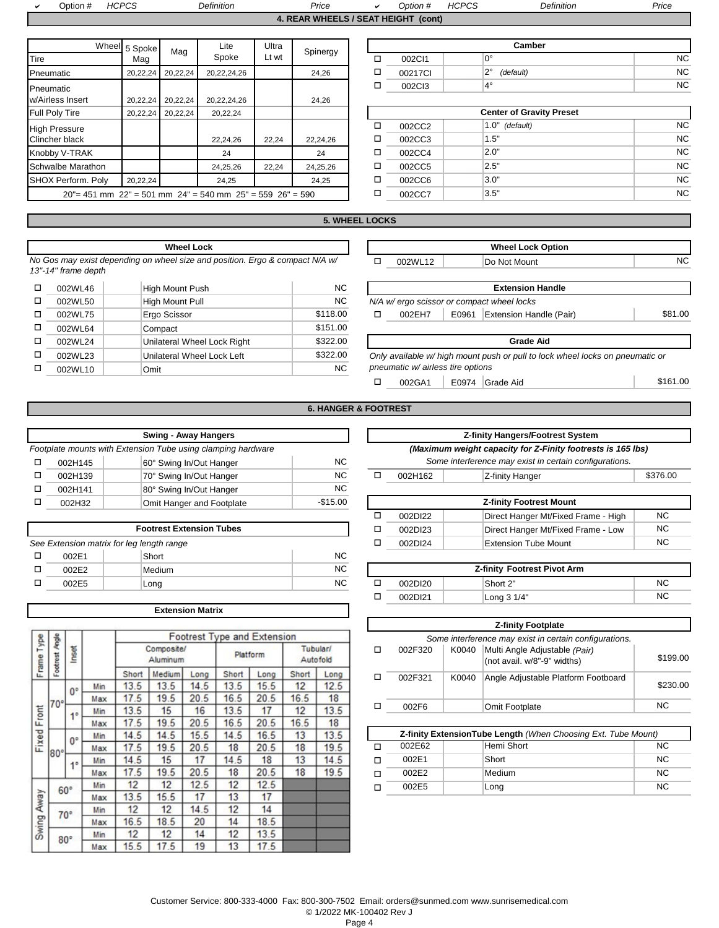| Jption # | ICDDC<br>ں۔<br>- 72 | Definition | Price                           | <b>Dption</b> | IIONOR<br>ישר<br>w | Definition | ∍rıce |
|----------|---------------------|------------|---------------------------------|---------------|--------------------|------------|-------|
|          |                     |            | <b>BEAB WURELO LOFAT UFIOUT</b> |               |                    |            |       |

**4. REAR WHEELS / SEAT HEIGHT (cont)**

|                       |                      |          | Lite                                                                 | Ultra |          |   |         | Camber                          |
|-----------------------|----------------------|----------|----------------------------------------------------------------------|-------|----------|---|---------|---------------------------------|
| Tire                  | Wheel 5 Spoke<br>Mag | Mag      | Spoke                                                                | Lt wt | Spinergy | ◻ | 002C11  | $0^{\circ}$                     |
| Pneumatic             | 20,22,24             | 20,22,24 | 20,22,24,26                                                          |       | 24,26    | □ | 00217CI | $2^{\circ}$<br>(default)        |
| Pneumatic             |                      |          |                                                                      |       |          | □ | 002Cl3  | $4^{\circ}$                     |
| w/Airless Insert      | 20,22,24             | 20,22,24 | 20,22,24,26                                                          |       | 24,26    |   |         |                                 |
| Full Poly Tire        | 20,22,24             | 20,22,24 | 20,22,24                                                             |       |          |   |         | <b>Center of Gravity Preset</b> |
| <b>High Pressure</b>  |                      |          |                                                                      |       |          | □ | 002CC2  | $1.0"$ (default)                |
| <b>Clincher black</b> |                      |          | 22,24,26                                                             | 22,24 | 22,24,26 | □ | 002CC3  | 1.5"                            |
| Knobby V-TRAK         |                      |          | 24                                                                   |       | 24       | □ | 002CC4  | 2.0"                            |
| Schwalbe Marathon     |                      |          | 24,25,26                                                             | 22,24 | 24,25,26 | □ | 002CC5  | 2.5"                            |
| SHOX Perform. Poly    | 20,22,24             |          | 24,25                                                                |       | 24,25    | □ | 002CC6  | 3.0"                            |
|                       |                      |          | $20" = 451$ mm $22" = 501$ mm $24" = 540$ mm $25" = 559$ $26" = 590$ |       |          | □ | 002CC7  | 3.5"                            |

|   | Camber  |                          |     |  |  |  |  |  |  |  |
|---|---------|--------------------------|-----|--|--|--|--|--|--|--|
| □ | 002CI1  | 0°                       | ΝC  |  |  |  |  |  |  |  |
| □ | 00217CI | $2^{\circ}$<br>(default) | NC. |  |  |  |  |  |  |  |
| □ | 002Cl3  | $4^\circ$                | ΝC  |  |  |  |  |  |  |  |

| Tire                                                                 |          | 20,22,24 20,22,24 | 20,22,24 |       |          |  | <b>Center of Gravity Preset</b> |        |  |                   |           |  |
|----------------------------------------------------------------------|----------|-------------------|----------|-------|----------|--|---------------------------------|--------|--|-------------------|-----------|--|
| ssure                                                                |          |                   |          |       |          |  |                                 | 002CC2 |  | 1.0"<br>(default) | <b>NC</b> |  |
| black                                                                |          |                   | 22.24.26 | 22.24 | 22,24,26 |  |                                 | 002CC3 |  | 1.5"              | <b>NC</b> |  |
| /-TRAK                                                               |          |                   | 24       |       | 24       |  |                                 | 002CC4 |  | 2.0"              | <b>NC</b> |  |
| e Marathon                                                           |          |                   | 24,25,26 | 22.24 | 24,25,26 |  |                                 | 002CC5 |  | 2.5"              | <b>NC</b> |  |
| erform. Poly                                                         | 20,22,24 |                   | 24.25    |       | 24,25    |  |                                 | 002CC6 |  | 3.0"              | <b>NC</b> |  |
| $20"$ = 451 mm $22"$ = 501 mm $24"$ = 540 mm $25"$ = 559 $26"$ = 590 |          |                   |          |       |          |  |                                 | 002CC7 |  | 3.5"              | <b>NC</b> |  |
|                                                                      |          |                   |          |       |          |  |                                 |        |  |                   |           |  |

## **5. WHEEL LOCKS**

**Wheel Lock** *No Gos may exist depending on wheel size and position. Ergo & compact N/A w/ 13"-14" frame depth* 

| □ | 002WL46 | High Mount Push             | NC.       | <b>Extension Handle</b>                              |
|---|---------|-----------------------------|-----------|------------------------------------------------------|
|   | 002WL50 | <b>High Mount Pull</b>      | <b>NC</b> | N/A w/ ergo scissor or compact wheel locks           |
|   | 002WL75 | Ergo Scissor                | \$118.00  | Extension Handle (Pa<br>E0961<br>002EH7              |
|   | 002WL64 | Compact                     | \$151.00  |                                                      |
|   | 002WL24 | Unilateral Wheel Lock Right | \$322.00  | <b>Grade Aid</b>                                     |
|   | 002WL23 | Unilateral Wheel Lock Left  | \$322.00  | Only available w/ high mount push or pull to lock wl |
|   | 002WL10 | Omit                        | <b>NC</b> | pneumatic w/ airless tire options                    |
|   |         |                             |           |                                                      |

|             | <b>Wheel Lock</b>                                                     |           | <b>Wheel Lock Option</b>                               |         |  |                                                                               |          |  |  |
|-------------|-----------------------------------------------------------------------|-----------|--------------------------------------------------------|---------|--|-------------------------------------------------------------------------------|----------|--|--|
| frame depth | may exist depending on wheel size and position. Ergo & compact N/A w/ |           | □                                                      | 002WL12 |  | Do Not Mount                                                                  | NC.      |  |  |
| 002WL46     | High Mount Push                                                       | <b>NC</b> |                                                        |         |  | <b>Extension Handle</b>                                                       |          |  |  |
| 002WL50     | High Mount Pull                                                       | NC.       |                                                        |         |  | N/A w/ ergo scissor or compact wheel locks                                    |          |  |  |
| 002WL75     | Ergo Scissor                                                          | \$118.00  | □<br><b>Extension Handle (Pair)</b><br>E0961<br>002EH7 |         |  |                                                                               |          |  |  |
| 002WL64     | Compact                                                               | \$151.00  |                                                        |         |  |                                                                               |          |  |  |
| 002WL24     | Unilateral Wheel Lock Right                                           | \$322.00  |                                                        |         |  | <b>Grade Aid</b>                                                              |          |  |  |
| 002WL23     | Unilateral Wheel Lock Left                                            | \$322.00  |                                                        |         |  | Only available w/ high mount push or pull to lock wheel locks on pneumatic or |          |  |  |
| 002WL10     | Omit                                                                  | NC.       | pneumatic w/ airless tire options                      |         |  |                                                                               |          |  |  |
|             |                                                                       |           | □                                                      | 002GA1  |  | E0974 Grade Aid                                                               | \$161.00 |  |  |

**6. HANGER & FOOTREST**

|         | <b>Swing - Away Hangers</b>                                  |                |                                                        |         | <b>Z-finity Hangers/Footrest System</b>                     |  |  |
|---------|--------------------------------------------------------------|----------------|--------------------------------------------------------|---------|-------------------------------------------------------------|--|--|
|         | Footplate mounts with Extension Tube using clamping hardware |                |                                                        |         | (Maximum weight capacity for Z-Finity footrests is 165 lbs) |  |  |
| 002H145 | 60° Swing In/Out Hanger                                      | N <sub>C</sub> | Some interference may exist in certain configurations. |         |                                                             |  |  |
| 002H139 | 70° Swing In/Out Hanger                                      | <b>NC</b>      |                                                        | 002H162 | Z-finity Hanger                                             |  |  |
| 002H141 | 80° Swing In/Out Hanger                                      | N <sub>C</sub> |                                                        |         |                                                             |  |  |
| 002H32  | Omit Hanger and Footplate                                    | $-$15.00$      |                                                        |         | <b>Z-finity Footrest Mount</b>                              |  |  |
|         |                                                              |                |                                                        |         |                                                             |  |  |

| <b>Footrest Extension Tubes</b>           |  |        |           |  |  |  |  |  |  |
|-------------------------------------------|--|--------|-----------|--|--|--|--|--|--|
| See Extension matrix for leg length range |  |        |           |  |  |  |  |  |  |
| 002E1                                     |  | Short  | <b>NC</b> |  |  |  |  |  |  |
| 002E2                                     |  | Medium | <b>NC</b> |  |  |  |  |  |  |
| 002E5                                     |  | Long   | <b>NC</b> |  |  |  |  |  |  |

**Extension Matrix**

|               | Angle      |             |     |                        |        |      | <b>Footrest Type and Extension</b> |          |                      |      |
|---------------|------------|-------------|-----|------------------------|--------|------|------------------------------------|----------|----------------------|------|
| Type<br>Frame | Footnest   | Inset       |     | Composite/<br>Aluminum |        |      |                                    | Platform | Tubular/<br>Autofold |      |
|               |            |             |     | Short                  | Medium | Long | Short                              | Long     | Short                | Long |
|               |            | 0°          | Min | 13.5                   | 13.5   | 14.5 | 13.5                               | 15.5     | 12                   | 12.5 |
|               | 70°        |             | Max | 17.5                   | 19.5   | 20.5 | 16.5                               | 20.5     | 16.5                 | 18   |
| Front         |            | $1^{\circ}$ | Min | 13.5                   | 15     | 16   | 13.5                               | 17       | 12                   | 13.5 |
|               |            |             | Max | 17.5                   | 19.5   | 20.5 | 16.5                               | 20.5     | 16.5                 | 18   |
| Fixed         |            | 0°          | Min | 14.5                   | 14.5   | 15.5 | 14.5                               | 16.5     | 13                   | 13.5 |
|               | $80^\circ$ |             | Max | 17.5                   | 19.5   | 20.5 | 18                                 | 20.5     | 18                   | 19.5 |
|               |            | $1^{\circ}$ | Min | 14.5                   | 15     | 17   | 14.5                               | 18       | 13                   | 14.5 |
|               |            |             | Max | 17.5                   | 19.5   | 20.5 | 18                                 | 20.5     | 18                   | 19.5 |
|               | $60^\circ$ |             | Min | 12                     | 12     | 12.5 | 12                                 | 12.5     |                      |      |
|               |            |             | Max | 13.5                   | 15.5   | 17   | 13                                 | 17       |                      |      |
|               |            | 70°         | Min | 12                     | 12     | 14.5 | 12                                 | 14       |                      |      |
| Swing Away    |            |             | Max | 16.5                   | 18.5   | 20   | 14                                 | 18.5     |                      |      |
|               | $80^\circ$ |             | Min | 12                     | 12     | 14   | 12                                 | 13.5     |                      |      |
|               |            |             | Max | 15.5                   | 17.5   | 19   | 13                                 | 17.5     |                      |      |

| Swing - Away Hangers             |              |                                                             | <b>Z-finity Hangers/Footrest System</b>                |  |                                |          |  |  |
|----------------------------------|--------------|-------------------------------------------------------------|--------------------------------------------------------|--|--------------------------------|----------|--|--|
| ion Tube using clamping hardware |              | (Maximum weight capacity for Z-Finity footrests is 165 lbs) |                                                        |  |                                |          |  |  |
| 60° Swing In/Out Hanger          | <b>NC</b>    |                                                             | Some interference may exist in certain configurations. |  |                                |          |  |  |
| 70° Swing In/Out Hanger          | <b>NC</b>    |                                                             | 002H162                                                |  | Z-finity Hanger                | \$376.00 |  |  |
| 80° Swing In/Out Hanger          | <b>NC</b>    |                                                             |                                                        |  |                                |          |  |  |
| Omit Hannan and Fastalate        | $0.4E$ $0.0$ |                                                             |                                                        |  | <b>7 finity Cootroot Mount</b> |          |  |  |

| Umit Hanger and Footplate       | - JI I J.UU | <b>L'ILIIIV FOULEST MOULE</b> |                                     |           |  |  |  |
|---------------------------------|-------------|-------------------------------|-------------------------------------|-----------|--|--|--|
|                                 |             | 002DI22                       | Direct Hanger Mt/Fixed Frame - High | <b>NC</b> |  |  |  |
| <b>Footrest Extension Tubes</b> |             | 002DI23                       | Direct Hanger Mt/Fixed Frame - Low  | <b>NC</b> |  |  |  |
| length range                    |             | 002DI24                       | Extension Tube Mount                | <b>NC</b> |  |  |  |
| Short                           | <b>NC</b>   |                               |                                     |           |  |  |  |

| 002E2 | Medium | <b>NC</b> | Z-finity<br><b>Footrest Pivot Arm</b> |  |             |           |  |  |
|-------|--------|-----------|---------------------------------------|--|-------------|-----------|--|--|
| 002E5 | Long   | <b>NC</b> | 002DI20                               |  | Short 2"    | <b>NC</b> |  |  |
|       |        |           | 002DI21                               |  | ∟ong 3 1/4" | NC        |  |  |

| <b>Z-finity Footplate</b>                              |       |                                                              |           |  |  |  |  |  |  |
|--------------------------------------------------------|-------|--------------------------------------------------------------|-----------|--|--|--|--|--|--|
| Some interference may exist in certain configurations. |       |                                                              |           |  |  |  |  |  |  |
| 002F320                                                | K0040 | Multi Angle Adjustable (Pair)<br>(not avail. w/8"-9" widths) | \$199.00  |  |  |  |  |  |  |
| 002F321                                                | K0040 | Angle Adjustable Platform Footboard                          | \$230.00  |  |  |  |  |  |  |
| 002F6                                                  |       | Omit Footplate                                               | <b>NC</b> |  |  |  |  |  |  |

| Z-finity ExtensionTube Length (When Choosing Ext. Tube Mount) |  |           |           |  |  |  |  |  |  |
|---------------------------------------------------------------|--|-----------|-----------|--|--|--|--|--|--|
| 002E62                                                        |  | <b>NC</b> |           |  |  |  |  |  |  |
| 002E1                                                         |  | Short     | NC.       |  |  |  |  |  |  |
| 002E2                                                         |  | Medium    | <b>NC</b> |  |  |  |  |  |  |
| 002E5                                                         |  | Long      | <b>NC</b> |  |  |  |  |  |  |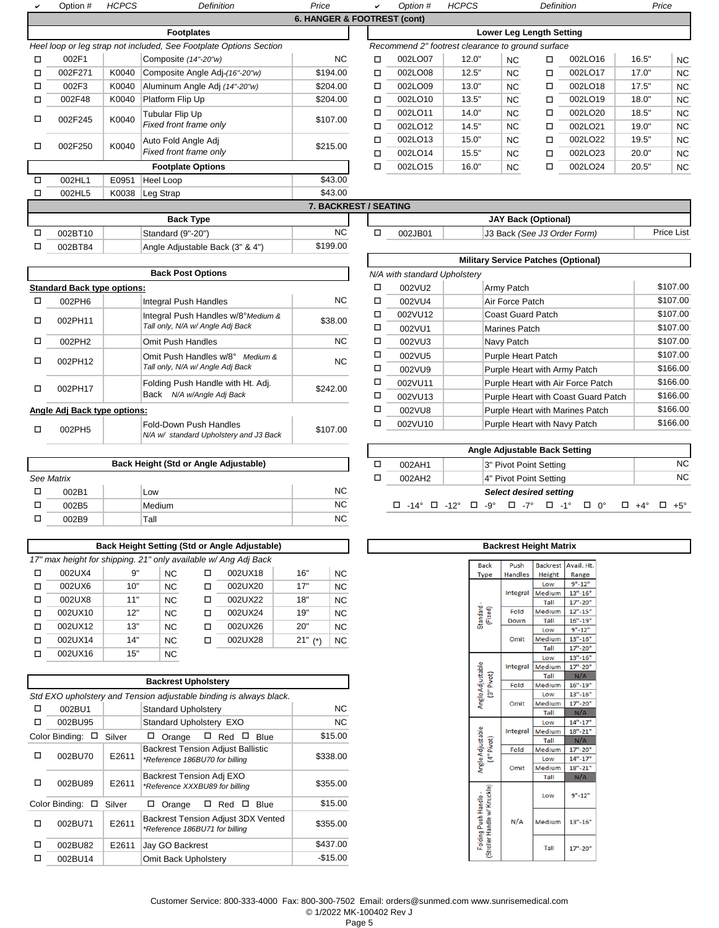|   | Option #         | <b>HCPCS</b> | <b>Definition</b>                                                  | Price                       |  | ے                                           | Option # | <b>HCPCS</b>                                      |                                 | Definition |         |       | Price     |  |
|---|------------------|--------------|--------------------------------------------------------------------|-----------------------------|--|---------------------------------------------|----------|---------------------------------------------------|---------------------------------|------------|---------|-------|-----------|--|
|   |                  |              |                                                                    | 6. HANGER & FOOTREST (cont) |  |                                             |          |                                                   |                                 |            |         |       |           |  |
|   |                  |              | <b>Footplates</b>                                                  |                             |  |                                             |          |                                                   | <b>Lower Leg Length Setting</b> |            |         |       |           |  |
|   |                  |              | Heel loop or leg strap not included, See Footplate Options Section |                             |  |                                             |          | Recommend 2" footrest clearance to ground surface |                                 |            |         |       |           |  |
| □ | 002F1            |              | Composite (14"-20"w)                                               | NC.                         |  | □                                           | 002LO07  | 12.0"                                             | NC.                             | $\Box$     | 002LO16 | 16.5" | <b>NC</b> |  |
| □ | 002F271          | K0040        | Composite Angle Adj-(16"-20"w)                                     | \$194.00                    |  | □                                           | 002LO08  | 12.5"                                             | <b>NC</b>                       | □          | 002LO17 | 17.0" | <b>NC</b> |  |
| □ | 002F3            | K0040        | Aluminum Angle Adj (14"-20"w)                                      | \$204.00                    |  | □                                           | 002LO09  | 13.0"                                             | <b>NC</b>                       | $\Box$     | 002LO18 | 17.5" | <b>NC</b> |  |
| □ | 002F48           | K0040        | Platform Flip Up                                                   | \$204.00                    |  | □                                           | 002LO10  | 13.5"                                             | <b>NC</b>                       | $\Box$     | 002LO19 | 18.0" | <b>NC</b> |  |
| п | 002F245          | K0040        | Tubular Flip Up                                                    | \$107.00                    |  | □                                           | 002LO11  | 14.0"                                             | <b>NC</b>                       | $\Box$     | 002LO20 | 18.5" | <b>NC</b> |  |
|   |                  |              | Fixed front frame only                                             |                             |  | □                                           | 002LO12  | 14.5"                                             | <b>NC</b>                       | $\Box$     | 002LO21 | 19.0" | <b>NC</b> |  |
| □ | 002F250          | K0040        | Auto Fold Angle Adj                                                | \$215.00                    |  | □                                           | 002LO13  | 15.0"                                             | <b>NC</b>                       | $\Box$     | 002LO22 | 19.5" | <b>NC</b> |  |
|   |                  |              | Fixed front frame only                                             |                             |  | п                                           | 002LO14  | 15.5"                                             | <b>NC</b>                       | $\Box$     | 002LO23 | 20.0" | <b>NC</b> |  |
|   |                  |              | <b>Footplate Options</b>                                           |                             |  | □                                           | 002LO15  | 16.0"                                             | <b>NC</b>                       | $\Box$     | 002LO24 | 20.5" | NC        |  |
| □ | 002HL1           | E0951        | Heel Loop                                                          | \$43.00                     |  |                                             |          |                                                   |                                 |            |         |       |           |  |
| □ | 002HL5           | K0038        | Leg Strap                                                          | \$43.00                     |  |                                             |          |                                                   |                                 |            |         |       |           |  |
|   |                  |              |                                                                    | 7. BACKREST / SEATING       |  |                                             |          |                                                   |                                 |            |         |       |           |  |
|   | <b>Back Type</b> |              |                                                                    |                             |  | <b>JAY Back (Optional)</b>                  |          |                                                   |                                 |            |         |       |           |  |
| □ | 002BT10          |              | Standard (9"-20")                                                  | <b>NC</b>                   |  | □<br>002JB01<br>J3 Back (See J3 Order Form) |          |                                                   |                                 | Price List |         |       |           |  |
| □ | 002BT84          |              | Angle Adjustable Back (3" & 4")                                    | \$199.00                    |  |                                             |          |                                                   |                                 |            |         |       |           |  |

|   |                                    | <b>Back Post Options</b>                                                |          |   | N/A with standard Upholstery |                           |
|---|------------------------------------|-------------------------------------------------------------------------|----------|---|------------------------------|---------------------------|
|   | <b>Standard Back type options:</b> |                                                                         |          | □ | 002VU2                       | Army Patch                |
| □ | 002PH6                             | Integral Push Handles                                                   | NC.      | □ | 002VU4                       | Air Force Patch           |
| □ | 002PH11                            | Integral Push Handles w/8°Medium &                                      | \$38.00  | □ | 002VU12                      | <b>Coast Guard Patch</b>  |
|   |                                    | Tall only, N/A w/ Angle Adj Back                                        |          | □ | 002VU1                       | Marines Patch             |
| □ | 002PH2                             | <b>Omit Push Handles</b>                                                | NC.      | □ | 002VU3                       | Navy Patch                |
| □ | 002PH12                            | Omit Push Handles w/8° Medium &                                         | NC.      | □ | 002VU5                       | <b>Purple Heart Patch</b> |
|   |                                    | Tall only, N/A w/ Angle Adj Back                                        |          | □ | 002VU9                       | Purple Heart with A       |
| □ | 002PH17                            | Folding Push Handle with Ht. Adj.                                       | \$242.00 | □ | 002VU11                      | Purple Heart with A       |
|   |                                    | N/A w/Angle Adj Back<br>Back                                            |          | □ | 002VU13                      | Purple Heart with C       |
|   | Angle Adj Back type options:       |                                                                         |          | □ | 002VU8                       | Purple Heart with N       |
| □ | 002PH5                             | <b>Fold-Down Push Handles</b><br>N/A w/ standard Upholstery and J3 Back | \$107.00 | □ | 002VU10                      | Purple Heart with N       |

|            |        |           |        |                        | 1.41                                                                                           |  |
|------------|--------|-----------|--------|------------------------|------------------------------------------------------------------------------------------------|--|
|            |        | 002AH1    |        | 3" Pivot Point Setting |                                                                                                |  |
| See Matrix |        |           | 002AH2 |                        | 4" Pivot Point Setting                                                                         |  |
| 002B1      | Low    | <b>NC</b> |        |                        | <b>Select desired setting</b>                                                                  |  |
| 002B5      | Medium | <b>NC</b> | 0      |                        | $-14^{\circ}$ $\Box$ $-12^{\circ}$ $\Box$ $-9^{\circ}$ $\Box$ $-7^{\circ}$ $\Box$ $-1^{\circ}$ |  |
| 002B9      | Tall   | <b>NC</b> |        |                        |                                                                                                |  |

|   | Back Height Setting (Std or Angle Adjustable)                   |     |                |   |         |              |           |  |  |  |  |  |
|---|-----------------------------------------------------------------|-----|----------------|---|---------|--------------|-----------|--|--|--|--|--|
|   | 17" max height for shipping. 21" only available w/ Ang Adj Back |     |                |   |         |              |           |  |  |  |  |  |
| □ | 002UX4                                                          | 9"  | <b>NC</b>      | □ | 002UX18 | 16"          | <b>NC</b> |  |  |  |  |  |
| □ | 002UX6                                                          | 10" | <b>NC</b>      | □ | 002UX20 | 17"          | <b>NC</b> |  |  |  |  |  |
| □ | 002UX8                                                          | 11" | <b>NC</b>      | ◻ | 002UX22 | 18"          | <b>NC</b> |  |  |  |  |  |
| □ | 002UX10                                                         | 12" | <b>NC</b>      | п | 002UX24 | 19"          | <b>NC</b> |  |  |  |  |  |
| □ | 002UX12                                                         | 13" | N <sub>C</sub> | ◻ | 002UX26 | 20"          | <b>NC</b> |  |  |  |  |  |
| □ | 002UX14                                                         | 14" | N <sub>C</sub> | ◻ | 002UX28 | 21"<br>$(*)$ | <b>NC</b> |  |  |  |  |  |
| п | 002UX16                                                         | 15" | <b>NC</b>      |   |         |              |           |  |  |  |  |  |

|   |                          |        | <b>Backrest Upholstery</b>                                                 |           |
|---|--------------------------|--------|----------------------------------------------------------------------------|-----------|
|   |                          |        | Std EXO upholstery and Tension adjustable binding is always black.         |           |
| □ | 002BU1                   |        | <b>Standard Upholstery</b>                                                 | <b>NC</b> |
| п | 002BU95                  |        | Standard Upholstery EXO                                                    | <b>NC</b> |
|   | Color Binding:<br>$\Box$ | Silver | $\Box$ Red<br><b>Blue</b><br>Orange<br>ப<br>ш                              | \$15.00   |
| п | 002BU70                  | E2611  | <b>Backrest Tension Adjust Ballistic</b><br>*Reference 186BU70 for billing | \$338.00  |
| п | 002BU89                  | E2611  | Backrest Tension Adj EXO<br>*Reference XXXBU89 for billing                 | \$355.00  |
|   | Color Binding:<br>□      | Silver | Red<br>Orange<br>Blue<br>□                                                 | \$15.00   |
| п | 002BU71                  | E2611  | Backrest Tension Adjust 3DX Vented<br>*Reference 186BU71 for billing       | \$355.00  |
| □ | 002BU82                  | E2611  | Jay GO Backrest                                                            | \$437.00  |
| П | 002BU14                  |        | Omit Back Upholstery                                                       | $-$15.00$ |

| <b>Military Service Patches (Optional)</b> |                              |  |                                     |          |  |  |  |  |  |
|--------------------------------------------|------------------------------|--|-------------------------------------|----------|--|--|--|--|--|
|                                            | N/A with standard Upholstery |  |                                     |          |  |  |  |  |  |
| п                                          | 002VU2                       |  | Army Patch                          | \$107.00 |  |  |  |  |  |
| □                                          | 002VU4                       |  | Air Force Patch                     | \$107.00 |  |  |  |  |  |
| □                                          | 002VU12                      |  | <b>Coast Guard Patch</b>            | \$107.00 |  |  |  |  |  |
| □                                          | 002VU1                       |  | Marines Patch                       | \$107.00 |  |  |  |  |  |
| □                                          | 002VU3                       |  | Navy Patch                          | \$107.00 |  |  |  |  |  |
| □                                          | 002VU5                       |  | <b>Purple Heart Patch</b>           | \$107.00 |  |  |  |  |  |
| □                                          | 002VU9                       |  | Purple Heart with Army Patch        | \$166.00 |  |  |  |  |  |
| □                                          | 002VU11                      |  | Purple Heart with Air Force Patch   | \$166.00 |  |  |  |  |  |
| □                                          | 002VU13                      |  | Purple Heart with Coast Guard Patch | \$166.00 |  |  |  |  |  |
| □                                          | 002VU8                       |  | Purple Heart with Marines Patch     | \$166.00 |  |  |  |  |  |
| □                                          | 002VU10                      |  | Purple Heart with Navy Patch        | \$166.00 |  |  |  |  |  |

|   |            |                                       |           |  |                                                                                          | Angle Adjustable Back Setting |                               |  |     |
|---|------------|---------------------------------------|-----------|--|------------------------------------------------------------------------------------------|-------------------------------|-------------------------------|--|-----|
|   |            | Back Height (Std or Angle Adjustable) |           |  | 002AH1                                                                                   |                               | 3" Pivot Point Setting        |  | NC. |
|   | see Matrix |                                       |           |  | 002AH2                                                                                   |                               | 4" Pivot Point Setting        |  | NC. |
| □ | 002B1      | Low                                   | <b>NC</b> |  |                                                                                          |                               | <b>Select desired setting</b> |  |     |
|   | 002B5      | Medium                                | <b>NC</b> |  | $\Box$ -14° $\Box$ -12° $\Box$ -9° $\Box$ -7° $\Box$ -1° $\Box$ 0° $\Box$ +4° $\Box$ +5° |                               |                               |  |     |

|  |                                                     | <b>Backrest Height Matrix</b> |                 |             |
|--|-----------------------------------------------------|-------------------------------|-----------------|-------------|
|  |                                                     |                               |                 |             |
|  | <b>Back</b>                                         | Push                          | <b>Backrest</b> | Avail. Ht.  |
|  | Type                                                | <b>Handles</b>                | <b>Height</b>   | Range       |
|  |                                                     |                               | Low             | $9" - 12"$  |
|  |                                                     | Integral                      | Medium          | $13" - 16"$ |
|  |                                                     |                               | Tall            | $17" - 20"$ |
|  | Standard<br>(Fixed)                                 | Fold                          | Medium          | $12" - 15"$ |
|  |                                                     | Down                          | Tall            | $16" - 19"$ |
|  |                                                     |                               | Low             | $9" - 12"$  |
|  |                                                     | Omit                          | Medium          | $13" - 16"$ |
|  |                                                     |                               | Tall            | 17"-20"     |
|  |                                                     |                               | Low             | $13" - 16"$ |
|  |                                                     | Integral                      | Medium          | $17" - 20"$ |
|  |                                                     |                               | Tall            | N/A         |
|  | Angle Adjustable<br>(3" Pivot)                      | Fold                          | Medium          | $16" - 19"$ |
|  |                                                     | Omit                          | Low             | $13" - 16"$ |
|  |                                                     |                               | Medium          | 17"-20"     |
|  |                                                     |                               | Tall            | N/A         |
|  |                                                     |                               | Low             | $14" - 17"$ |
|  |                                                     | Integral                      | Medium          | $18" - 21"$ |
|  |                                                     |                               | Tall            | N/A         |
|  |                                                     | Fold                          | Medium          | 17"-20"     |
|  | Angle Adjustable<br>(4" Pivot)                      |                               | Low             | $14" - 17"$ |
|  |                                                     | Omit                          | Medium          | $18" - 21"$ |
|  |                                                     |                               | Tall            | N/A         |
|  |                                                     |                               | Low             | $9" - 12"$  |
|  | Stroller Handle w/ Knuckle<br>Folding Push Handle - | N/A                           | Medium          | $13" - 16"$ |
|  |                                                     |                               | Tall            | 17"-20"     |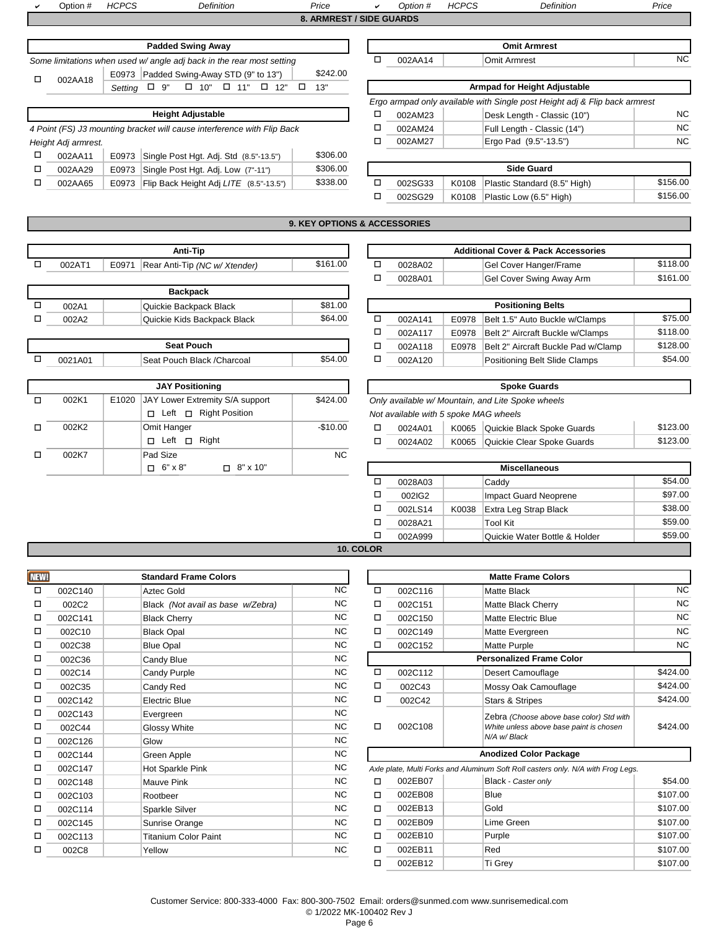a Option # *HCPCS Definition Price* <sup>a</sup> *Option # HCPCS Definition Price* **8. ARMREST / SIDE GUARDS** Padded Swing Away **Demand Away Omit Armrest** 

| <b>Fauged Swilly Away</b>                                             |  |         | UIIII AHIIESL |           |
|-----------------------------------------------------------------------|--|---------|---------------|-----------|
| Some limitations when used w/ angle adj back in the rear most setting |  | 002AA14 | ⊃mit Armrest  | <b>NC</b> |
| \$242.00<br>Padded Swing-Away STD (9" to 13")<br>E0973<br>002AA18     |  |         |               |           |
|                                                                       |  |         |               |           |

|                                                                         |         |       |                                        |          | Erç |  |  |  |  |  |  |
|-------------------------------------------------------------------------|---------|-------|----------------------------------------|----------|-----|--|--|--|--|--|--|
| <b>Height Adjustable</b>                                                |         |       |                                        |          |     |  |  |  |  |  |  |
| 4 Point (FS) J3 mounting bracket will cause interference with Flip Back |         |       |                                        |          |     |  |  |  |  |  |  |
| Height Adj armrest.                                                     |         |       |                                        |          |     |  |  |  |  |  |  |
|                                                                         | 002AA11 | E0973 | Single Post Hgt. Adj. Std (8.5"-13.5") | \$306.00 |     |  |  |  |  |  |  |
| □                                                                       | 002AA29 | E0973 | Single Post Hgt. Adj. Low (7"-11")     | \$306.00 |     |  |  |  |  |  |  |
|                                                                         | 002AA65 | E0973 | Flip Back Height Adj LITE (8.5"-13.5") | \$338.00 | п   |  |  |  |  |  |  |

| orne ilmitations when used w/ angle adj back in the rear most setting. |          |                              | UUZAA 14 | UIIII AIIIIESI                                                             | IVV. |  |  |  |
|------------------------------------------------------------------------|----------|------------------------------|----------|----------------------------------------------------------------------------|------|--|--|--|
| E0973 Padded Swing-Away STD (9" to 13")<br>□<br>002AA18                | \$242.00 |                              |          |                                                                            |      |  |  |  |
| 10" $\Box$ 11" $\Box$ 12" $\Box$<br>$\Box$<br>$\Box$ 9"<br>Settina     | 13"      | Armpad for Height Adjustable |          |                                                                            |      |  |  |  |
|                                                                        |          |                              |          | Ergo armpad only available with Single post Height adj & Flip back armrest |      |  |  |  |
| <b>Height Adjustable</b>                                               |          |                              | 002AM23  | Desk Length - Classic (10")                                                | NC.  |  |  |  |
| Point (FS) J3 mounting bracket will cause interference with Flip Back  |          |                              | 002AM24  | Full Length - Classic (14")                                                | NC.  |  |  |  |
| leight Adi armrest.                                                    |          |                              | 002AM27  | Ergo Pad (9.5"-13.5")                                                      | NC.  |  |  |  |
| □<br>E0973 Single Post Hgt. Adj. Std (8.5"-13.5")<br>002AA11           | \$306.00 |                              |          |                                                                            |      |  |  |  |

| 002AA29 | E0973 Single Post Hgt. Adj. Low (7"-11")                     | \$306.00 | <b>Side Guard</b> |         |  |                                    |          |
|---------|--------------------------------------------------------------|----------|-------------------|---------|--|------------------------------------|----------|
| 002AA65 | E0973   Flip Back Height Adj LITE (8.5"-13.5") $\frac{1}{2}$ | \$338.00 |                   | 002SG33 |  | K0108 Plastic Standard (8.5" High) | \$156.00 |
|         |                                                              |          |                   | 002SG29 |  | K0108 Plastic Low (6.5" High)      | \$156.00 |

## **9. KEY OPTIONS & ACCESSORIES**

|  | 002AT1 | E0971 | Rear Anti-Tip (NC w/ Xtender) | \$161.00 | 0028A02 |
|--|--------|-------|-------------------------------|----------|---------|
|  |        |       |                               |          | .       |

|   |       | <b>Backpack</b>             |         |         |       |                                     |
|---|-------|-----------------------------|---------|---------|-------|-------------------------------------|
|   | 002A1 | Quickie Backpack Black      | \$81.00 |         |       | <b>Positioning Belts</b>            |
| - | 002A2 | Quickie Kids Backpack Black | \$64.00 | 002A141 | E0978 | Belt 1.5" Auto Buckle               |
|   |       |                             |         | 0024117 |       | $F0078$ $R$ olt $2"$ Aircraft Ruckl |

|         | 002A118                     |         |         |
|---------|-----------------------------|---------|---------|
| 0021A01 | Seat Pouch Black / Charcoal | \$54.00 | 002A120 |

|       | <b>JAY Positioning</b>                   |           |   |                                                   |       | <b>Spoke Guards</b>  |  |
|-------|------------------------------------------|-----------|---|---------------------------------------------------|-------|----------------------|--|
| 002K1 | JAY Lower Extremity S/A support<br>E1020 | \$424.00  |   | Only available w/ Mountain, and Lite Spoke wheels |       |                      |  |
|       | Left $\sqcap$ Right Position<br>П.       |           |   | Not available with 5 spoke MAG wheels             |       |                      |  |
| 002K2 | Omit Hanger                              | $-$10.00$ | □ | 0024A01                                           | K0065 | Quickie Black Spoke  |  |
|       | Right<br>Left $\sqcap$<br>П.             |           |   | 0024A02                                           | K0065 | Quickie Clear Spoke  |  |
| 002K7 | Pad Size                                 | NC.       |   |                                                   |       |                      |  |
|       | $\Box$ 6" $\times$ 8"<br>$\Box$ 8" x 10" |           |   |                                                   |       | <b>Miscellaneous</b> |  |

| Anti-Tip               |          |         | <b>Additional Cover &amp; Pack Accessories</b> |  |
|------------------------|----------|---------|------------------------------------------------|--|
| ti-Tip (NC w/ Xtender) | \$161.00 | 0028A02 | \$118.00<br>Gel Cover Hanger/Frame             |  |
|                        |          | 0028A01 | \$161.00<br>Gel Cover Swing Away Arm           |  |
|                        |          |         |                                                |  |

| ie Backpack Black                 | \$81.00 |         |       | <b>Positioning Belts</b>            |          |
|-----------------------------------|---------|---------|-------|-------------------------------------|----------|
| \$64.00<br>ie Kids Backpack Black |         | 002A141 | E0978 | Belt 1.5" Auto Buckle w/Clamps      | \$75.00  |
|                                   |         | 002A117 | E0978 | Belt 2" Aircraft Buckle w/Clamps    | \$118.00 |
| <b>Seat Pouch</b>                 |         | 002A118 | E0978 | Belt 2" Aircraft Buckle Pad w/Clamp | \$128.00 |
| Pouch Black /Charcoal             | \$54.00 | 002A120 |       | Positioning Belt Slide Clamps       | \$54.00  |

| <b>Spoke Guards</b>                               |         |       |                            |          |  |  |  |
|---------------------------------------------------|---------|-------|----------------------------|----------|--|--|--|
| Only available w/ Mountain, and Lite Spoke wheels |         |       |                            |          |  |  |  |
| Not available with 5 spoke MAG wheels             |         |       |                            |          |  |  |  |
|                                                   | 0024A01 | K0065 | Quickie Black Spoke Guards | \$123.00 |  |  |  |
|                                                   | 0024A02 | K0065 | Quickie Clear Spoke Guards | \$123.00 |  |  |  |

| <b>Miscellaneous</b> |         |       |                               |         |  |  |  |
|----------------------|---------|-------|-------------------------------|---------|--|--|--|
|                      | 0028A03 |       | Caddy                         | \$54.00 |  |  |  |
|                      | 002IG2  |       | <b>Impact Guard Neoprene</b>  | \$97.00 |  |  |  |
|                      | 002LS14 | K0038 | Extra Leg Strap Black         | \$38.00 |  |  |  |
|                      | 0028A21 |       | <b>Tool Kit</b>               | \$59.00 |  |  |  |
|                      | 002A999 |       | Quickie Water Bottle & Holder | \$59.00 |  |  |  |
| $\bigcap$            |         |       |                               |         |  |  |  |

# **10. COLOR**

| <b>NEW!</b> | <b>Standard Frame Colors</b> |                                   |           | <b>Matte Frame Colors</b> |         |                                                                                  |  |  |
|-------------|------------------------------|-----------------------------------|-----------|---------------------------|---------|----------------------------------------------------------------------------------|--|--|
| $\Box$      | 002C140                      | <b>Aztec Gold</b>                 | <b>NC</b> | □                         | 002C116 | Matte Black                                                                      |  |  |
| □           | 002C2                        | Black (Not avail as base w/Zebra) | <b>NC</b> | □                         | 002C151 | <b>Matte Black Cherry</b>                                                        |  |  |
| □           | 002C141                      | <b>Black Cherry</b>               | NC.       | □                         | 002C150 | <b>Matte Electric Blue</b>                                                       |  |  |
| □           | 002C10                       | <b>Black Opal</b>                 | <b>NC</b> | □                         | 002C149 | Matte Evergreen                                                                  |  |  |
| □           | 002C38                       | <b>Blue Opal</b>                  | <b>NC</b> | □                         | 002C152 | <b>Matte Purple</b>                                                              |  |  |
| □           | 002C36                       | Candy Blue                        | <b>NC</b> |                           |         | <b>Personalized Frame Color</b>                                                  |  |  |
| □           | 002C14                       | Candy Purple                      | <b>NC</b> | $\Box$                    | 002C112 | Desert Camouflage                                                                |  |  |
| □           | 002C35                       | Candy Red                         | <b>NC</b> | □                         | 002C43  | Mossy Oak Camouflage                                                             |  |  |
| □           | 002C142                      | <b>Electric Blue</b>              | <b>NC</b> | □                         | 002C42  | <b>Stars &amp; Stripes</b>                                                       |  |  |
| □           | 002C143                      | Evergreen                         | <b>NC</b> |                           |         | Zebra (Choose above base color) Std with                                         |  |  |
| □           | 002C44                       | Glossy White                      | <b>NC</b> | □                         | 002C108 | White unless above base paint is chosen                                          |  |  |
| □           | 002C126                      | Glow                              | <b>NC</b> |                           |         | N/A w/ Black                                                                     |  |  |
| □           | 002C144                      | Green Apple                       | NC.       |                           |         | <b>Anodized Color Package</b>                                                    |  |  |
| □           | 002C147                      | Hot Sparkle Pink                  | NC.       |                           |         | Axle plate, Multi Forks and Aluminum Soft Roll casters only. N/A with Froq Legs. |  |  |
| □           | 002C148                      | Mauve Pink                        | <b>NC</b> | $\Box$                    | 002EB07 | Black - Caster only                                                              |  |  |
| □           | 002C103                      | Rootbeer                          | NC.       | □                         | 002EB08 | <b>Blue</b>                                                                      |  |  |
| □           | 002C114                      | <b>Sparkle Silver</b>             | NC.       | □                         | 002EB13 | Gold                                                                             |  |  |
| □           | 002C145                      | Sunrise Orange                    | <b>NC</b> | □                         | 002EB09 | Lime Green                                                                       |  |  |
| □           | 002C113                      | <b>Titanium Color Paint</b>       | <b>NC</b> | □                         | 002EB10 | Purple                                                                           |  |  |
| □           | 002C8                        | Yellow                            | <b>NC</b> | □                         | 002EB11 | Red                                                                              |  |  |

| <b>Standard Frame Colors</b> |                                   |           | <b>Matte Frame Colors</b>                                                        |         |                                          |           |  |  |
|------------------------------|-----------------------------------|-----------|----------------------------------------------------------------------------------|---------|------------------------------------------|-----------|--|--|
| 002C140                      | <b>Aztec Gold</b>                 | NC        | □                                                                                | 002C116 | <b>Matte Black</b>                       | NC        |  |  |
| 002C2                        | Black (Not avail as base w/Zebra) | NC.       | □                                                                                | 002C151 | Matte Black Cherry                       | NC        |  |  |
| 002C141                      | <b>Black Cherry</b>               | <b>NC</b> | □                                                                                | 002C150 | <b>Matte Electric Blue</b>               | <b>NC</b> |  |  |
| 002C10                       | <b>Black Opal</b>                 | NC.       | □                                                                                | 002C149 | Matte Evergreen                          | NC        |  |  |
| 002C38                       | <b>Blue Opal</b>                  | <b>NC</b> | □                                                                                | 002C152 | <b>Matte Purple</b>                      | <b>NC</b> |  |  |
| 002C36                       | Candy Blue                        | <b>NC</b> | <b>Personalized Frame Color</b>                                                  |         |                                          |           |  |  |
| 002C14                       | Candy Purple                      | NC.       | □                                                                                | 002C112 | Desert Camouflage                        | \$424.00  |  |  |
| 002C35                       | Candy Red                         | <b>NC</b> | □                                                                                | 002C43  | Mossy Oak Camouflage                     | \$424.00  |  |  |
| 002C142                      | <b>Electric Blue</b>              | <b>NC</b> | □                                                                                | 002C42  | <b>Stars &amp; Stripes</b>               | \$424.00  |  |  |
| 002C143                      | Evergreen                         | NC.       |                                                                                  |         | Zebra (Choose above base color) Std with |           |  |  |
| 002C44                       | Glossy White                      | <b>NC</b> | □                                                                                | 002C108 | White unless above base paint is chosen  | \$424.00  |  |  |
| 002C126                      | Glow                              | NC        |                                                                                  |         | N/A w/ Black                             |           |  |  |
| 002C144                      | Green Apple                       | NC.       | <b>Anodized Color Package</b>                                                    |         |                                          |           |  |  |
| 002C147                      | Hot Sparkle Pink                  | NC.       | Axle plate, Multi Forks and Aluminum Soft Roll casters only. N/A with Frog Legs. |         |                                          |           |  |  |
| 002C148                      | <b>Mauve Pink</b>                 | <b>NC</b> | □                                                                                | 002EB07 | Black - Caster only                      | \$54.00   |  |  |
| 002C103                      | Rootbeer                          | <b>NC</b> | □                                                                                | 002EB08 | <b>Blue</b>                              | \$107.00  |  |  |
| 002C114                      | Sparkle Silver                    | <b>NC</b> | □                                                                                | 002EB13 | Gold                                     | \$107.00  |  |  |
| 002C145                      | Sunrise Orange                    | <b>NC</b> | □                                                                                | 002EB09 | Lime Green                               | \$107.00  |  |  |
| 002C113                      | <b>Titanium Color Paint</b>       | <b>NC</b> | □                                                                                | 002EB10 | Purple                                   | \$107.00  |  |  |
| 002C8                        | Yellow                            | NC.       | п                                                                                | 002EB11 | Red                                      | \$107.00  |  |  |
|                              |                                   |           | □                                                                                | 002EB12 | Ti Grey                                  | \$107.00  |  |  |

Customer Service: 800-333-4000 Fax: 800-300-7502 Email: orders@sunmed.com www.sunrisemedical.com © 1/2022 MK-100402 Rev J